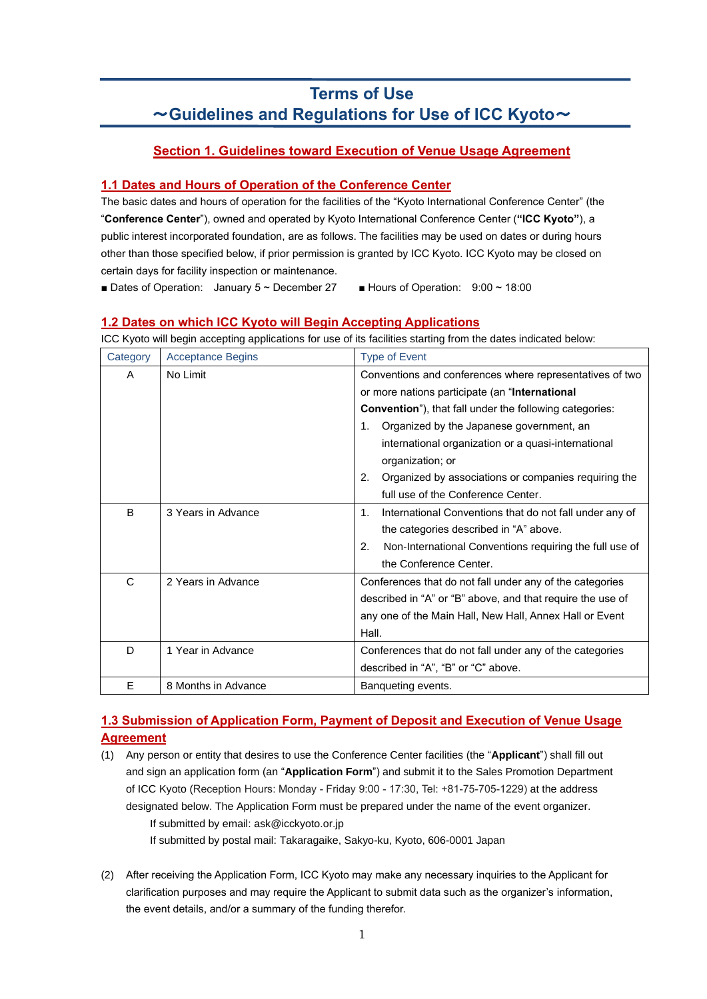# **Terms of Use** ~**Guidelines and Regulations for Use of ICC Kyoto**~

# **Section 1. Guidelines toward Execution of Venue Usage Agreement**

# **1.1 Dates and Hours of Operation of the Conference Center**

The basic dates and hours of operation for the facilities of the "Kyoto International Conference Center" (the "**Conference Center**"), owned and operated by Kyoto International Conference Center (**"ICC Kyoto"**), a public interest incorporated foundation, are as follows. The facilities may be used on dates or during hours other than those specified below, if prior permission is granted by ICC Kyoto. ICC Kyoto may be closed on certain days for facility inspection or maintenance.

■ Dates of Operation: January 5 ~ December 27 **■** Hours of Operation: 9:00 ~ 18:00

# **1.2 Dates on which ICC Kyoto will Begin Accepting Applications**

ICC Kyoto will begin accepting applications for use of its facilities starting from the dates indicated below:

| Category | <b>Acceptance Begins</b> | <b>Type of Event</b>                                                      |  |  |  |  |
|----------|--------------------------|---------------------------------------------------------------------------|--|--|--|--|
| A        | No Limit                 | Conventions and conferences where representatives of two                  |  |  |  |  |
|          |                          | or more nations participate (an "International                            |  |  |  |  |
|          |                          | <b>Convention</b> "), that fall under the following categories:           |  |  |  |  |
|          |                          | Organized by the Japanese government, an<br>1.                            |  |  |  |  |
|          |                          | international organization or a quasi-international                       |  |  |  |  |
|          |                          | organization; or                                                          |  |  |  |  |
|          |                          | Organized by associations or companies requiring the<br>2.                |  |  |  |  |
|          |                          | full use of the Conference Center.                                        |  |  |  |  |
| B        | 3 Years in Advance       | International Conventions that do not fall under any of<br>1 <sub>1</sub> |  |  |  |  |
|          |                          | the categories described in "A" above.                                    |  |  |  |  |
|          |                          | 2.<br>Non-International Conventions requiring the full use of             |  |  |  |  |
|          |                          | the Conference Center.                                                    |  |  |  |  |
| C        | 2 Years in Advance       | Conferences that do not fall under any of the categories                  |  |  |  |  |
|          |                          | described in "A" or "B" above, and that require the use of                |  |  |  |  |
|          |                          | any one of the Main Hall, New Hall, Annex Hall or Event                   |  |  |  |  |
|          |                          | Hall.                                                                     |  |  |  |  |
| D        | 1 Year in Advance        | Conferences that do not fall under any of the categories                  |  |  |  |  |
|          |                          | described in "A", "B" or "C" above.                                       |  |  |  |  |
| E        | 8 Months in Advance      | Banqueting events.                                                        |  |  |  |  |

# **1.3 Submission of Application Form, Payment of Deposit and Execution of Venue Usage Agreement**

- (1) Any person or entity that desires to use the Conference Center facilities (the "**Applicant**") shall fill out and sign an application form (an "**Application Form**") and submit it to the Sales Promotion Department of ICC Kyoto (Reception Hours: Monday - Friday 9:00 - 17:30, Tel: +81-75-705-1229) at the address designated below. The Application Form must be prepared under the name of the event organizer. If submitted by email: ask@icckyoto.or.jp If submitted by postal mail: Takaragaike, Sakyo-ku, Kyoto, 606-0001 Japan
- (2) After receiving the Application Form, ICC Kyoto may make any necessary inquiries to the Applicant for clarification purposes and may require the Applicant to submit data such as the organizer's information, the event details, and/or a summary of the funding therefor.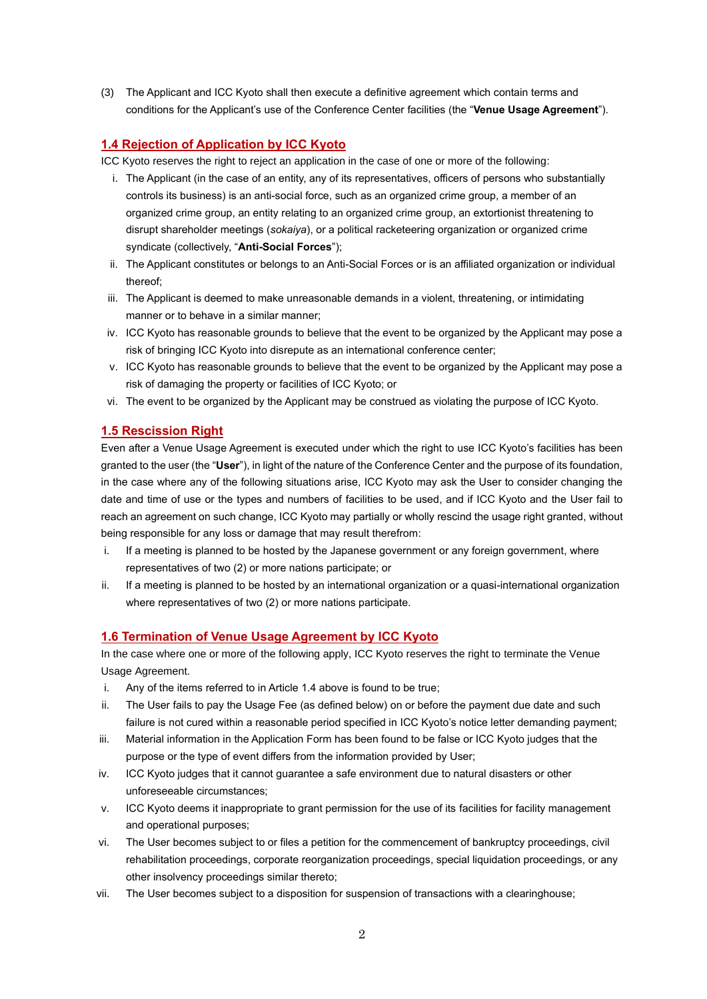(3) The Applicant and ICC Kyoto shall then execute a definitive agreement which contain terms and conditions for the Applicant's use of the Conference Center facilities (the "**Venue Usage Agreement**").

# **1.4 Rejection of Application by ICC Kyoto**

ICC Kyoto reserves the right to reject an application in the case of one or more of the following:

- i. The Applicant (in the case of an entity, any of its representatives, officers of persons who substantially controls its business) is an anti-social force, such as an organized crime group, a member of an organized crime group, an entity relating to an organized crime group, an extortionist threatening to disrupt shareholder meetings (*sokaiya*), or a political racketeering organization or organized crime syndicate (collectively, "**Anti-Social Forces**");
- ii. The Applicant constitutes or belongs to an Anti-Social Forces or is an affiliated organization or individual thereof;
- iii. The Applicant is deemed to make unreasonable demands in a violent, threatening, or intimidating manner or to behave in a similar manner;
- iv. ICC Kyoto has reasonable grounds to believe that the event to be organized by the Applicant may pose a risk of bringing ICC Kyoto into disrepute as an international conference center;
- v. ICC Kyoto has reasonable grounds to believe that the event to be organized by the Applicant may pose a risk of damaging the property or facilities of ICC Kyoto; or
- vi. The event to be organized by the Applicant may be construed as violating the purpose of ICC Kyoto.

# **1.5 Rescission Right**

Even after a Venue Usage Agreement is executed under which the right to use ICC Kyoto's facilities has been granted to the user (the "**User**"), in light of the nature of the Conference Center and the purpose of its foundation, in the case where any of the following situations arise, ICC Kyoto may ask the User to consider changing the date and time of use or the types and numbers of facilities to be used, and if ICC Kyoto and the User fail to reach an agreement on such change, ICC Kyoto may partially or wholly rescind the usage right granted, without being responsible for any loss or damage that may result therefrom:

- i. If a meeting is planned to be hosted by the Japanese government or any foreign government, where representatives of two (2) or more nations participate; or
- ii. If a meeting is planned to be hosted by an international organization or a quasi-international organization where representatives of two (2) or more nations participate.

#### **1.6 Termination of Venue Usage Agreement by ICC Kyoto**

In the case where one or more of the following apply, ICC Kyoto reserves the right to terminate the Venue Usage Agreement.

- i. Any of the items referred to in Article 1.4 above is found to be true;
- ii. The User fails to pay the Usage Fee (as defined below) on or before the payment due date and such failure is not cured within a reasonable period specified in ICC Kyoto's notice letter demanding payment;
- iii. Material information in the Application Form has been found to be false or ICC Kyoto judges that the purpose or the type of event differs from the information provided by User;
- iv. ICC Kyoto judges that it cannot guarantee a safe environment due to natural disasters or other unforeseeable circumstances;
- v. ICC Kyoto deems it inappropriate to grant permission for the use of its facilities for facility management and operational purposes;
- vi. The User becomes subject to or files a petition for the commencement of bankruptcy proceedings, civil rehabilitation proceedings, corporate reorganization proceedings, special liquidation proceedings, or any other insolvency proceedings similar thereto;
- vii. The User becomes subject to a disposition for suspension of transactions with a clearinghouse;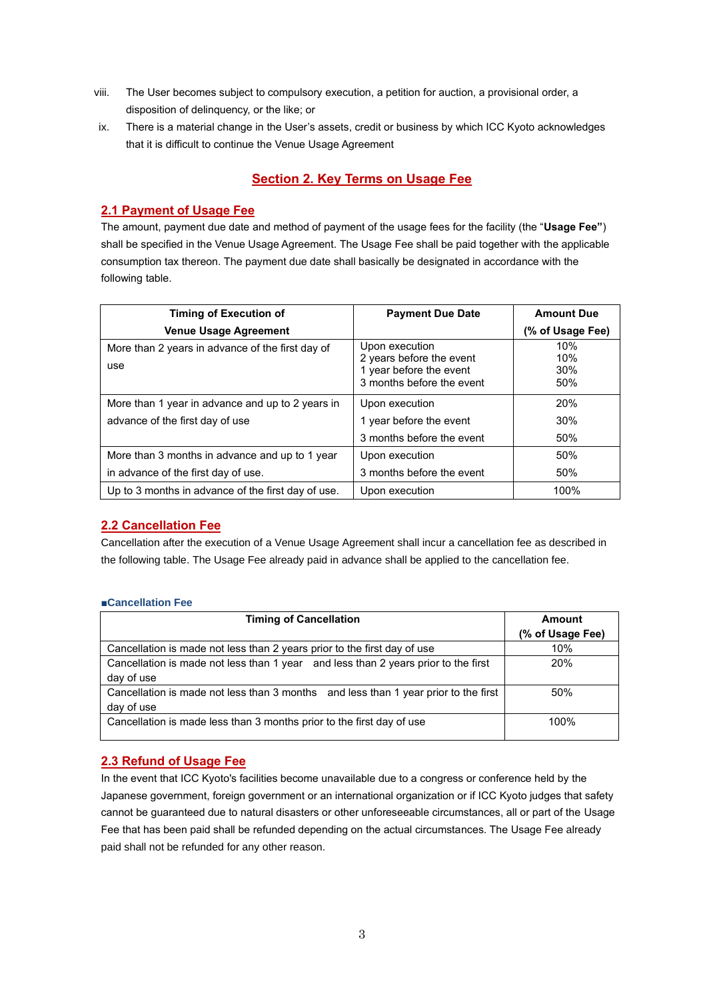- viii. The User becomes subject to compulsory execution, a petition for auction, a provisional order, a disposition of delinquency, or the like; or
- ix. There is a material change in the User's assets, credit or business by which ICC Kyoto acknowledges that it is difficult to continue the Venue Usage Agreement

# **Section 2. Key Terms on Usage Fee**

### **2.1 Payment of Usage Fee**

The amount, payment due date and method of payment of the usage fees for the facility (the "**Usage Fee"**) shall be specified in the Venue Usage Agreement. The Usage Fee shall be paid together with the applicable consumption tax thereon. The payment due date shall basically be designated in accordance with the following table.

| <b>Timing of Execution of</b>                           | <b>Payment Due Date</b>                                                                            | <b>Amount Due</b>        |  |
|---------------------------------------------------------|----------------------------------------------------------------------------------------------------|--------------------------|--|
| <b>Venue Usage Agreement</b>                            |                                                                                                    | (% of Usage Fee)         |  |
| More than 2 years in advance of the first day of<br>use | Upon execution<br>2 years before the event<br>1 year before the event<br>3 months before the event | 10%<br>10%<br>30%<br>50% |  |
| More than 1 year in advance and up to 2 years in        | Upon execution                                                                                     | 20%                      |  |
| advance of the first day of use                         | 1 year before the event                                                                            | 30%                      |  |
|                                                         | 3 months before the event                                                                          | 50%                      |  |
| More than 3 months in advance and up to 1 year          | Upon execution                                                                                     | 50%                      |  |
| in advance of the first day of use.                     | 3 months before the event                                                                          | 50%                      |  |
| Up to 3 months in advance of the first day of use.      | Upon execution                                                                                     | 100%                     |  |

#### **2.2 Cancellation Fee**

Cancellation after the execution of a Venue Usage Agreement shall incur a cancellation fee as described in the following table. The Usage Fee already paid in advance shall be applied to the cancellation fee.

#### **■Cancellation Fee**

| <b>Timing of Cancellation</b>                                                                     | Amount           |  |
|---------------------------------------------------------------------------------------------------|------------------|--|
|                                                                                                   | (% of Usage Fee) |  |
| Cancellation is made not less than 2 years prior to the first day of use                          | 10%              |  |
| Cancellation is made not less than 1 year and less than 2 years prior to the first<br>day of use  | <b>20%</b>       |  |
| Cancellation is made not less than 3 months and less than 1 year prior to the first<br>day of use | 50%              |  |
| Cancellation is made less than 3 months prior to the first day of use                             | 100%             |  |

# **2.3 Refund of Usage Fee**

In the event that ICC Kyoto's facilities become unavailable due to a congress or conference held by the Japanese government, foreign government or an international organization or if ICC Kyoto judges that safety cannot be guaranteed due to natural disasters or other unforeseeable circumstances, all or part of the Usage Fee that has been paid shall be refunded depending on the actual circumstances. The Usage Fee already paid shall not be refunded for any other reason.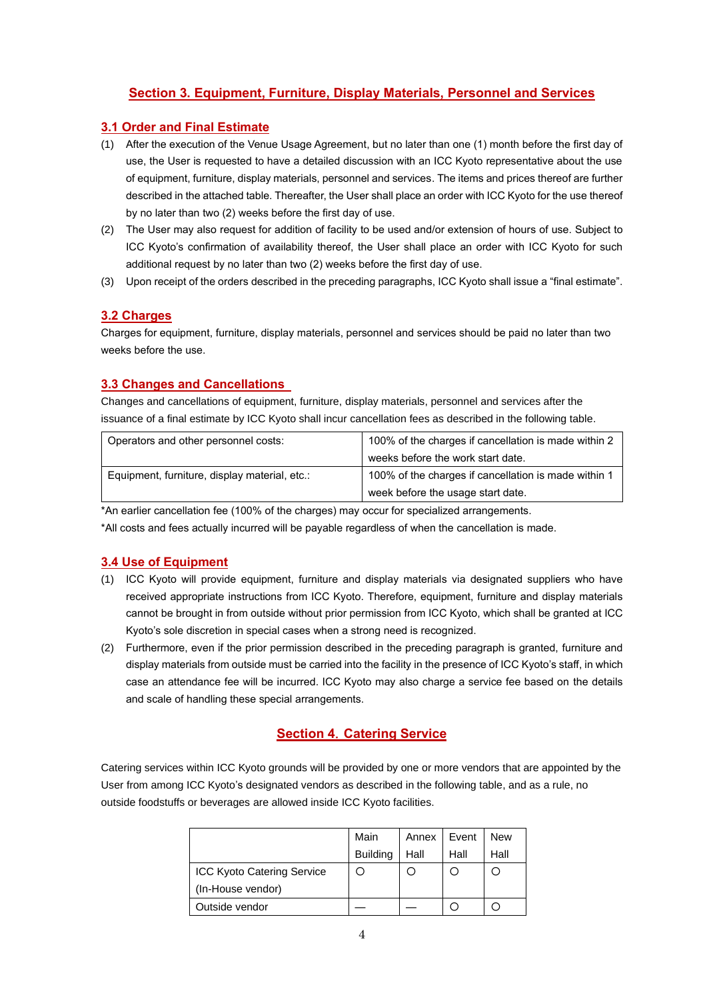# **Section 3. Equipment, Furniture, Display Materials, Personnel and Services**

### **3.1 Order and Final Estimate**

- (1) After the execution of the Venue Usage Agreement, but no later than one (1) month before the first day of use, the User is requested to have a detailed discussion with an ICC Kyoto representative about the use of equipment, furniture, display materials, personnel and services. The items and prices thereof are further described in the attached table. Thereafter, the User shall place an order with ICC Kyoto for the use thereof by no later than two (2) weeks before the first day of use.
- (2) The User may also request for addition of facility to be used and/or extension of hours of use. Subject to ICC Kyoto's confirmation of availability thereof, the User shall place an order with ICC Kyoto for such additional request by no later than two (2) weeks before the first day of use.
- (3) Upon receipt of the orders described in the preceding paragraphs, ICC Kyoto shall issue a "final estimate".

### **3.2 Charges**

Charges for equipment, furniture, display materials, personnel and services should be paid no later than two weeks before the use.

## **3.3 Changes and Cancellations**

Changes and cancellations of equipment, furniture, display materials, personnel and services after the issuance of a final estimate by ICC Kyoto shall incur cancellation fees as described in the following table.

| Operators and other personnel costs:          | 100% of the charges if cancellation is made within 2 |  |  |
|-----------------------------------------------|------------------------------------------------------|--|--|
|                                               | weeks before the work start date.                    |  |  |
| Equipment, furniture, display material, etc.: | 100% of the charges if cancellation is made within 1 |  |  |
|                                               | week before the usage start date.                    |  |  |

\*An earlier cancellation fee (100% of the charges) may occur for specialized arrangements.

\*All costs and fees actually incurred will be payable regardless of when the cancellation is made.

#### **3.4 Use of Equipment**

- (1) ICC Kyoto will provide equipment, furniture and display materials via designated suppliers who have received appropriate instructions from ICC Kyoto. Therefore, equipment, furniture and display materials cannot be brought in from outside without prior permission from ICC Kyoto, which shall be granted at ICC Kyoto's sole discretion in special cases when a strong need is recognized.
- (2) Furthermore, even if the prior permission described in the preceding paragraph is granted, furniture and display materials from outside must be carried into the facility in the presence of ICC Kyoto's staff, in which case an attendance fee will be incurred. ICC Kyoto may also charge a service fee based on the details and scale of handling these special arrangements.

# **Section 4**.**Catering Service**

Catering services within ICC Kyoto grounds will be provided by one or more vendors that are appointed by the User from among ICC Kyoto's designated vendors as described in the following table, and as a rule, no outside foodstuffs or beverages are allowed inside ICC Kyoto facilities.

|                                   | Main            | Annex | Event | <b>New</b> |
|-----------------------------------|-----------------|-------|-------|------------|
|                                   | <b>Building</b> | Hall  | Hall  | Hall       |
| <b>ICC Kyoto Catering Service</b> |                 |       |       |            |
| (In-House vendor)                 |                 |       |       |            |
| Outside vendor                    |                 |       |       |            |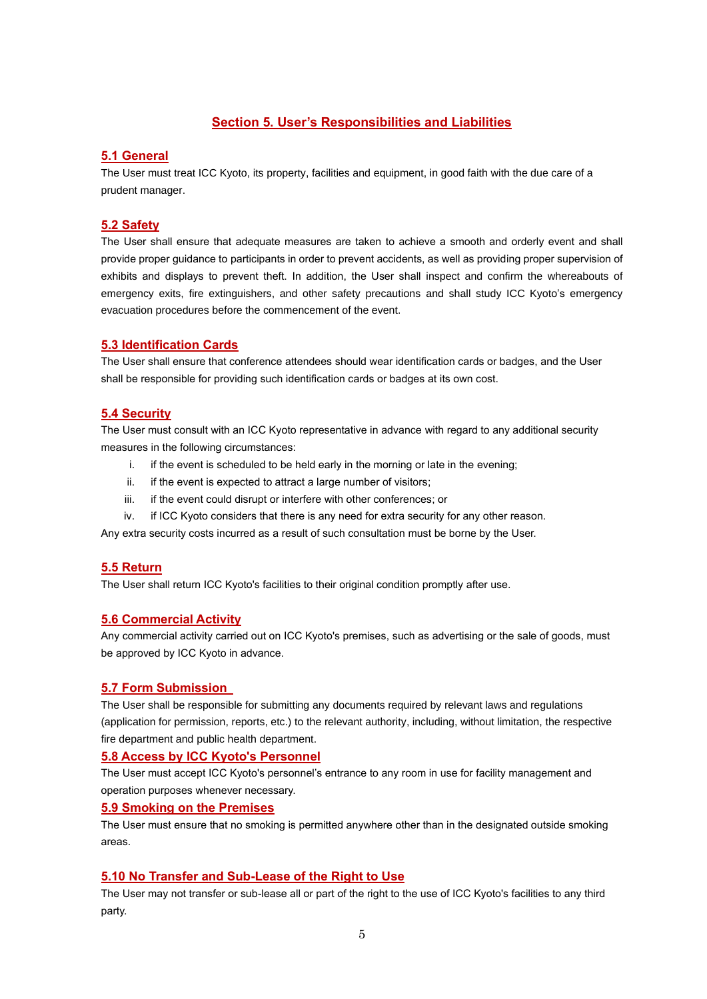# **Section 5. User's Responsibilities and Liabilities**

# **5.1 General**

The User must treat ICC Kyoto, its property, facilities and equipment, in good faith with the due care of a prudent manager.

#### **5.2 Safety**

The User shall ensure that adequate measures are taken to achieve a smooth and orderly event and shall provide proper guidance to participants in order to prevent accidents, as well as providing proper supervision of exhibits and displays to prevent theft. In addition, the User shall inspect and confirm the whereabouts of emergency exits, fire extinguishers, and other safety precautions and shall study ICC Kyoto's emergency evacuation procedures before the commencement of the event.

#### **5.3 Identification Cards**

The User shall ensure that conference attendees should wear identification cards or badges, and the User shall be responsible for providing such identification cards or badges at its own cost.

### **5.4 Security**

The User must consult with an ICC Kyoto representative in advance with regard to any additional security measures in the following circumstances:

- i. if the event is scheduled to be held early in the morning or late in the evening;
- ii. if the event is expected to attract a large number of visitors;
- iii. if the event could disrupt or interfere with other conferences; or
- iv. if ICC Kyoto considers that there is any need for extra security for any other reason.

Any extra security costs incurred as a result of such consultation must be borne by the User.

#### **5.5 Return**

The User shall return ICC Kyoto's facilities to their original condition promptly after use.

#### **5.6 Commercial Activity**

Any commercial activity carried out on ICC Kyoto's premises, such as advertising or the sale of goods, must be approved by ICC Kyoto in advance.

#### **5.7 Form Submission**

The User shall be responsible for submitting any documents required by relevant laws and regulations (application for permission, reports, etc.) to the relevant authority, including, without limitation, the respective fire department and public health department.

#### **5.8 Access by ICC Kyoto's Personnel**

The User must accept ICC Kyoto's personnel's entrance to any room in use for facility management and operation purposes whenever necessary.

#### **5.9 Smoking on the Premises**

The User must ensure that no smoking is permitted anywhere other than in the designated outside smoking areas.

### **5.10 No Transfer and Sub-Lease of the Right to Use**

The User may not transfer or sub-lease all or part of the right to the use of ICC Kyoto's facilities to any third party.